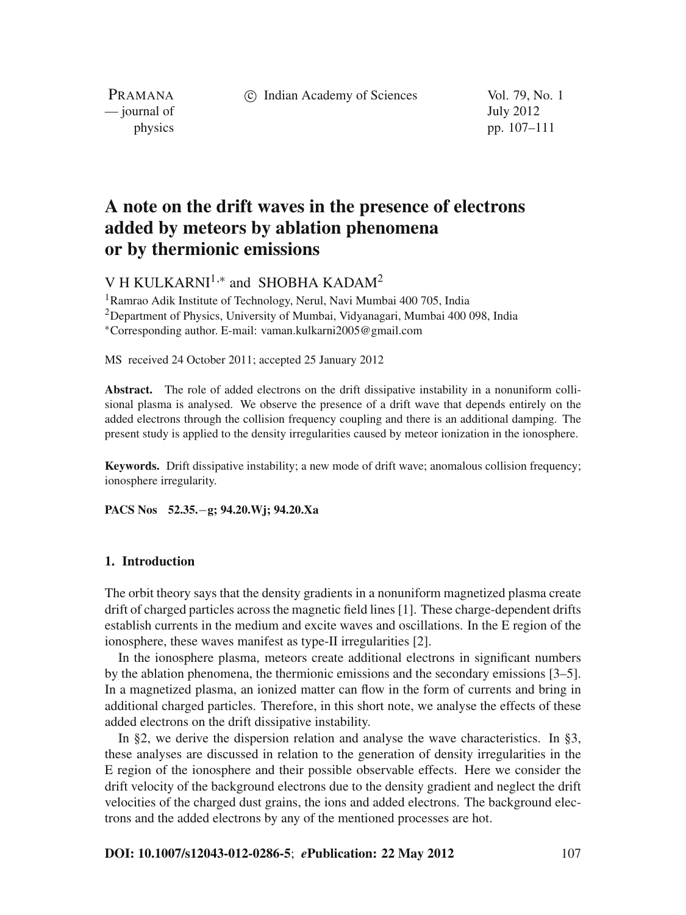c Indian Academy of Sciences Vol. 79, No. 1

PRAMANA — journal of July 2012

physics pp. 107–111

# **A note on the drift waves in the presence of electrons added by meteors by ablation phenomena or by thermionic emissions**

V H KULKARNI<sup>1,\*</sup> and SHOBHA KADAM<sup>2</sup>

1Ramrao Adik Institute of Technology, Nerul, Navi Mumbai 400 705, India 2Department of Physics, University of Mumbai, Vidyanagari, Mumbai 400 098, India <sup>∗</sup>Corresponding author. E-mail: vaman.kulkarni2005@gmail.com

MS received 24 October 2011; accepted 25 January 2012

**Abstract.** The role of added electrons on the drift dissipative instability in a nonuniform collisional plasma is analysed. We observe the presence of a drift wave that depends entirely on the added electrons through the collision frequency coupling and there is an additional damping. The present study is applied to the density irregularities caused by meteor ionization in the ionosphere.

**Keywords.** Drift dissipative instability; a new mode of drift wave; anomalous collision frequency; ionosphere irregularity.

**PACS Nos 52.35.**−**g; 94.20.Wj; 94.20.Xa**

### **1. Introduction**

The orbit theory says that the density gradients in a nonuniform magnetized plasma create drift of charged particles across the magnetic field lines [1]. These charge-dependent drifts establish currents in the medium and excite waves and oscillations. In the E region of the ionosphere, these waves manifest as type-II irregularities [2].

In the ionosphere plasma, meteors create additional electrons in significant numbers by the ablation phenomena, the thermionic emissions and the secondary emissions [3–5]. In a magnetized plasma, an ionized matter can flow in the form of currents and bring in additional charged particles. Therefore, in this short note, we analyse the effects of these added electrons on the drift dissipative instability.

In §2, we derive the dispersion relation and analyse the wave characteristics. In §3, these analyses are discussed in relation to the generation of density irregularities in the E region of the ionosphere and their possible observable effects. Here we consider the drift velocity of the background electrons due to the density gradient and neglect the drift velocities of the charged dust grains, the ions and added electrons. The background electrons and the added electrons by any of the mentioned processes are hot.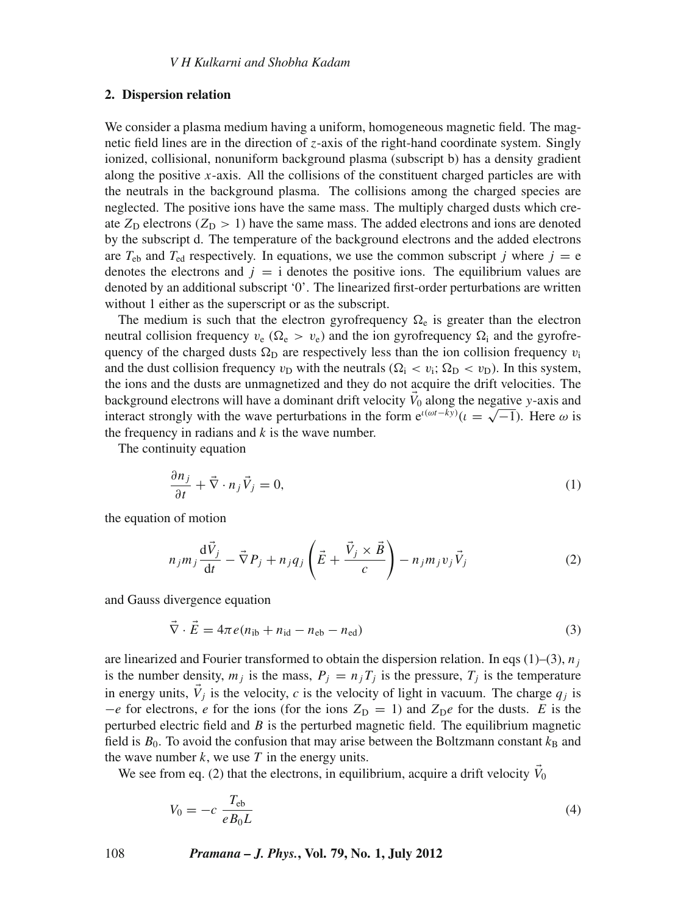#### **2. Dispersion relation**

We consider a plasma medium having a uniform, homogeneous magnetic field. The magnetic field lines are in the direction of *z*-axis of the right-hand coordinate system. Singly ionized, collisional, nonuniform background plasma (subscript b) has a density gradient along the positive  $x$ -axis. All the collisions of the constituent charged particles are with the neutrals in the background plasma. The collisions among the charged species are neglected. The positive ions have the same mass. The multiply charged dusts which create  $Z_D$  electrons ( $Z_D > 1$ ) have the same mass. The added electrons and ions are denoted by the subscript d. The temperature of the background electrons and the added electrons are  $T_{eb}$  and  $T_{ed}$  respectively. In equations, we use the common subscript *j* where  $j = e$ denotes the electrons and  $j = i$  denotes the positive ions. The equilibrium values are denoted by an additional subscript '0'. The linearized first-order perturbations are written without 1 either as the superscript or as the subscript.

The medium is such that the electron gyrofrequency  $\Omega_e$  is greater than the electron neutral collision frequency  $v_e$  ( $\Omega_e > v_e$ ) and the ion gyrofrequency  $\Omega_i$  and the gyrofrequency of the charged dusts  $\Omega_D$  are respectively less than the ion collision frequency  $v_i$ and the dust collision frequency  $v_D$  with the neutrals ( $\Omega_i < v_i$ ;  $\Omega_D < v_D$ ). In this system, the ions and the dusts are unmagnetized and they do not acquire the drift velocities. The background electrons will have a dominant drift velocity  $\vec{V}_0$  along the negative *y*-axis and background electrons will have a dominant drift velocity  $v_0$  along the hegative y-axis and<br>interact strongly with the wave perturbations in the form  $e^{i(\omega t - ky)}$  ( $i = \sqrt{-1}$ ). Here  $\omega$  is the frequency in radians and *k* is the wave number.

The continuity equation

$$
\frac{\partial n_j}{\partial t} + \vec{\nabla} \cdot n_j \vec{V}_j = 0,\tag{1}
$$

the equation of motion

$$
n_j m_j \frac{\mathrm{d}\vec{V}_j}{\mathrm{d}t} - \vec{\nabla} P_j + n_j q_j \left( \vec{E} + \frac{\vec{V}_j \times \vec{B}}{c} \right) - n_j m_j v_j \vec{V}_j \tag{2}
$$

and Gauss divergence equation

$$
\vec{\nabla} \cdot \vec{E} = 4\pi e (n_{\text{ib}} + n_{\text{id}} - n_{\text{eb}} - n_{\text{ed}})
$$
\n(3)

are linearized and Fourier transformed to obtain the dispersion relation. In eqs  $(1)$ – $(3)$ ,  $n_j$ is the number density,  $m_j$  is the mass,  $P_j = n_j T_j$  is the pressure,  $T_j$  is the temperature in energy units,  $\vec{V}_i$  is the velocity, *c* is the velocity of light in vacuum. The charge  $q_i$  is  $-e$  for electrons, *e* for the ions (for the ions  $Z_D = 1$ ) and  $Z_De$  for the dusts. *E* is the perturbed electric field and *B* is the perturbed magnetic field. The equilibrium magnetic field is  $B_0$ . To avoid the confusion that may arise between the Boltzmann constant  $k_B$  and the wave number  $k$ , we use  $T$  in the energy units.

We see from eq. (2) that the electrons, in equilibrium, acquire a drift velocity  $\tilde{V}_0$ 

$$
V_0 = -c \frac{T_{\text{eb}}}{eB_0L} \tag{4}
$$

108 *Pramana – J. Phys.***, Vol. 79, No. 1, July 2012**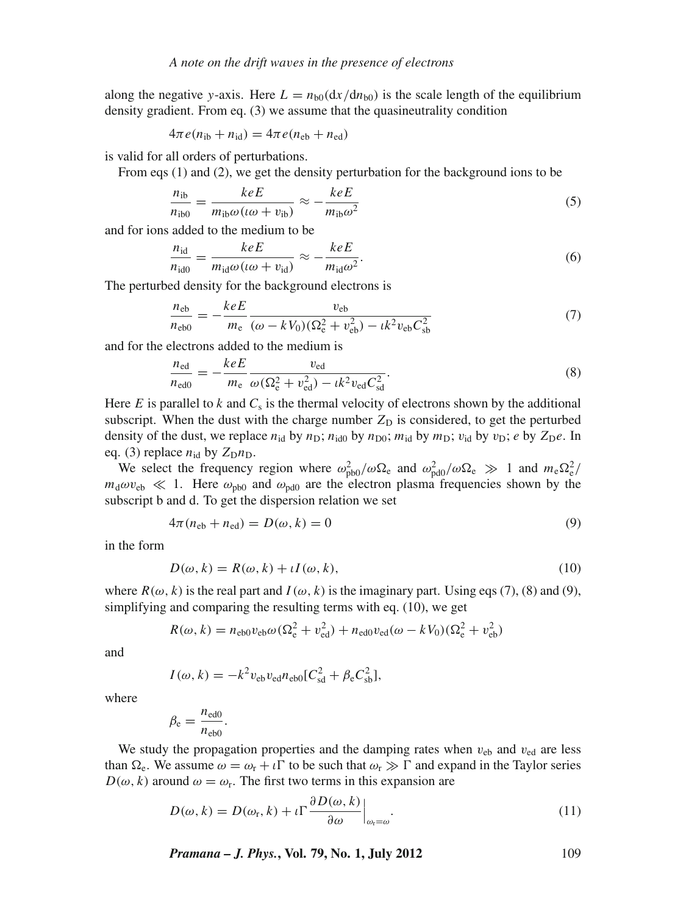along the negative *y*-axis. Here  $L = n_{b0} (dx/dn_{b0})$  is the scale length of the equilibrium density gradient. From eq. (3) we assume that the quasineutrality condition

$$
4\pi e(n_{\rm ib} + n_{\rm id}) = 4\pi e(n_{\rm eb} + n_{\rm ed})
$$

is valid for all orders of perturbations.

From eqs (1) and (2), we get the density perturbation for the background ions to be

$$
\frac{n_{\rm ib}}{n_{\rm ib0}} = \frac{keE}{m_{\rm ib}\omega(\omega + v_{\rm ib})} \approx -\frac{keE}{m_{\rm ib}\omega^2} \tag{5}
$$

and for ions added to the medium to be

$$
\frac{n_{\rm id}}{n_{\rm id0}} = \frac{keE}{m_{\rm id}\omega(\omega + v_{\rm id})} \approx -\frac{keE}{m_{\rm id}\omega^2}.
$$
\n(6)

The perturbed density for the background electrons is

$$
\frac{n_{\text{eb}}}{n_{\text{eb0}}} = -\frac{keE}{m_{\text{e}}} \frac{v_{\text{eb}}}{(\omega - kV_0)(\Omega_{\text{e}}^2 + v_{\text{eb}}^2) - ik^2 v_{\text{eb}} C_{\text{sb}}^2}
$$
(7)

and for the electrons added to the medium is

$$
\frac{n_{\text{ed}}}{n_{\text{ed}0}} = -\frac{keE}{m_{\text{e}}}\frac{v_{\text{ed}}}{\omega(\Omega_{\text{e}}^2 + v_{\text{ed}}^2) - ik^2 v_{\text{ed}} C_{\text{sd}}^2}.
$$
(8)

Here  $E$  is parallel to  $k$  and  $C_s$  is the thermal velocity of electrons shown by the additional subscript. When the dust with the charge number  $Z<sub>D</sub>$  is considered, to get the perturbed density of the dust, we replace  $n_{id}$  by  $n_D$ ;  $n_{id0}$  by  $n_{D0}$ ;  $m_{id}$  by  $m_D$ ;  $v_{id}$  by  $v_D$ ; *e* by  $Z_De$ . In eq. (3) replace  $n_{\text{id}}$  by  $Z_{\text{D}}n_{\text{D}}$ .

We select the frequency region where  $\omega_{\text{pb0}}^2/\omega\Omega_e$  and  $\omega_{\text{pd0}}^2/\omega\Omega_e \gg 1$  and  $m_e\Omega_e^2/$  $m_d \omega v_{\rm eb} \ll 1$ . Here  $\omega_{\rm pb0}$  and  $\omega_{\rm pd0}$  are the electron plasma frequencies shown by the subscript b and d. To get the dispersion relation we set

$$
4\pi(n_{\rm eb} + n_{\rm ed}) = D(\omega, k) = 0 \tag{9}
$$

in the form

$$
D(\omega, k) = R(\omega, k) + \iota I(\omega, k),\tag{10}
$$

where  $R(\omega, k)$  is the real part and  $I(\omega, k)$  is the imaginary part. Using eqs (7), (8) and (9), simplifying and comparing the resulting terms with eq. (10), we get

$$
R(\omega, k) = n_{\text{e}b0}v_{\text{e}b}\omega(\Omega_{\text{e}}^2 + v_{\text{ed}}^2) + n_{\text{e}d0}v_{\text{e}d}(\omega - kV_0)(\Omega_{\text{e}}^2 + v_{\text{e}b}^2)
$$

and

$$
I(\omega, k) = -k^2 v_{\text{eb}} v_{\text{ed}} n_{\text{eb0}} [C_{\text{sd}}^2 + \beta_{\text{e}} C_{\text{sb}}^2],
$$

where

$$
\beta_{\rm e} = \frac{n_{\rm ed0}}{n_{\rm eb0}}.
$$

We study the propagation properties and the damping rates when  $v_{eb}$  and  $v_{ed}$  are less than  $\Omega_e$ . We assume  $\omega = \omega_r + \iota \Gamma$  to be such that  $\omega_r \gg \Gamma$  and expand in the Taylor series  $D(\omega, k)$  around  $\omega = \omega_r$ . The first two terms in this expansion are

$$
D(\omega, k) = D(\omega_{\rm r}, k) + \iota \Gamma \frac{\partial D(\omega, k)}{\partial \omega} \Big|_{\omega_{\rm r} = \omega}.
$$
\n(11)

*Pramana – J. Phys.***, Vol. 79, No. 1, July 2012** 109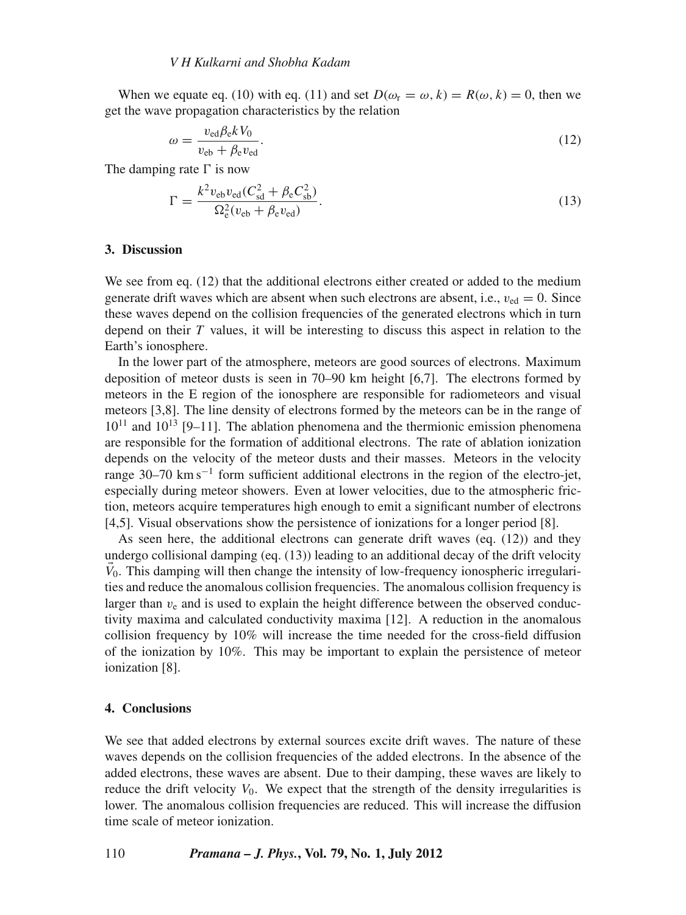When we equate eq. (10) with eq. (11) and set  $D(\omega_r = \omega, k) = R(\omega, k) = 0$ , then we get the wave propagation characteristics by the relation

$$
\omega = \frac{v_{\text{ed}}\beta_{\text{e}}kV_0}{v_{\text{eb}} + \beta_{\text{e}}v_{\text{ed}}}.\tag{12}
$$

The damping rate  $\Gamma$  is now

$$
\Gamma = \frac{k^2 v_{\rm eb} v_{\rm ed} (C_{\rm sd}^2 + \beta_{\rm e} C_{\rm sb}^2)}{\Omega_{\rm e}^2 (v_{\rm eb} + \beta_{\rm e} v_{\rm ed})}.
$$
\n(13)

## **3. Discussion**

We see from eq. (12) that the additional electrons either created or added to the medium generate drift waves which are absent when such electrons are absent, i.e.,  $v_{\text{ed}} = 0$ . Since these waves depend on the collision frequencies of the generated electrons which in turn depend on their *T* values, it will be interesting to discuss this aspect in relation to the Earth's ionosphere.

In the lower part of the atmosphere, meteors are good sources of electrons. Maximum deposition of meteor dusts is seen in 70–90 km height [6,7]. The electrons formed by meteors in the E region of the ionosphere are responsible for radiometeors and visual meteors [3,8]. The line density of electrons formed by the meteors can be in the range of  $10^{11}$  and  $10^{13}$  [9–11]. The ablation phenomena and the thermionic emission phenomena are responsible for the formation of additional electrons. The rate of ablation ionization depends on the velocity of the meteor dusts and their masses. Meteors in the velocity range 30–70 km s<sup> $-1$ </sup> form sufficient additional electrons in the region of the electro-jet, especially during meteor showers. Even at lower velocities, due to the atmospheric friction, meteors acquire temperatures high enough to emit a significant number of electrons [4,5]. Visual observations show the persistence of ionizations for a longer period [8].

As seen here, the additional electrons can generate drift waves (eq. (12)) and they undergo collisional damping (eq. (13)) leading to an additional decay of the drift velocity  $V_0$ . This damping will then change the intensity of low-frequency ionospheric irregularities and reduce the anomalous collision frequencies. The anomalous collision frequency is larger than  $v_e$  and is used to explain the height difference between the observed conductivity maxima and calculated conductivity maxima [12]. A reduction in the anomalous collision frequency by 10% will increase the time needed for the cross-field diffusion of the ionization by 10%. This may be important to explain the persistence of meteor ionization [8].

#### **4. Conclusions**

We see that added electrons by external sources excite drift waves. The nature of these waves depends on the collision frequencies of the added electrons. In the absence of the added electrons, these waves are absent. Due to their damping, these waves are likely to reduce the drift velocity  $V_0$ . We expect that the strength of the density irregularities is lower. The anomalous collision frequencies are reduced. This will increase the diffusion time scale of meteor ionization.